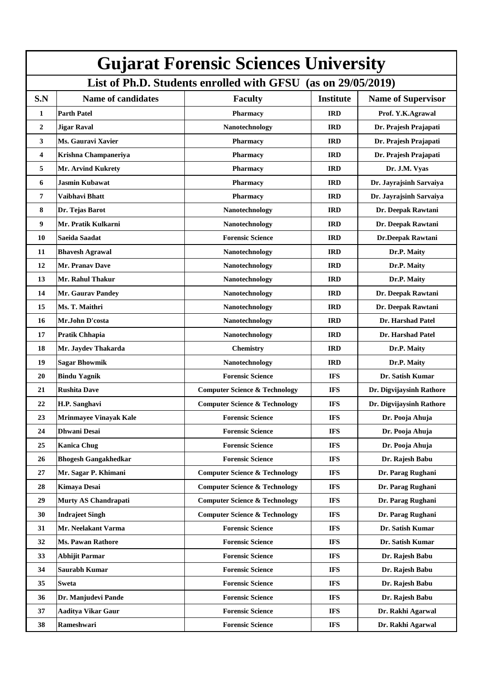| <b>Gujarat Forensic Sciences University</b>                  |                             |                                          |                  |                           |  |  |  |
|--------------------------------------------------------------|-----------------------------|------------------------------------------|------------------|---------------------------|--|--|--|
| List of Ph.D. Students enrolled with GFSU (as on 29/05/2019) |                             |                                          |                  |                           |  |  |  |
| S.N                                                          | <b>Name of candidates</b>   | <b>Faculty</b>                           | <b>Institute</b> | <b>Name of Supervisor</b> |  |  |  |
| $\mathbf{1}$                                                 | <b>Parth Patel</b>          | Pharmacy                                 | <b>IRD</b>       | Prof. Y.K.Agrawal         |  |  |  |
| $\overline{2}$                                               | <b>Jigar Raval</b>          | Nanotechnology                           | <b>IRD</b>       | Dr. Prajesh Prajapati     |  |  |  |
| 3                                                            | Ms. Gauravi Xavier          | <b>Pharmacy</b>                          | <b>IRD</b>       | Dr. Prajesh Prajapati     |  |  |  |
| 4                                                            | Krishna Champaneriya        | Pharmacy                                 | <b>IRD</b>       | Dr. Prajesh Prajapati     |  |  |  |
| 5                                                            | <b>Mr. Arvind Kukrety</b>   | <b>Pharmacy</b>                          | <b>IRD</b>       | Dr. J.M. Vyas             |  |  |  |
| 6                                                            | <b>Jasmin Kubawat</b>       | <b>Pharmacy</b>                          | <b>IRD</b>       | Dr. Jayrajsinh Sarvaiya   |  |  |  |
| 7                                                            | Vaibhavi Bhatt              | Pharmacy                                 | <b>IRD</b>       | Dr. Jayrajsinh Sarvaiya   |  |  |  |
| 8                                                            | Dr. Tejas Barot             | Nanotechnology                           | <b>IRD</b>       | Dr. Deepak Rawtani        |  |  |  |
| 9                                                            | Mr. Pratik Kulkarni         | Nanotechnology                           | <b>IRD</b>       | Dr. Deepak Rawtani        |  |  |  |
| 10                                                           | Saeida Saadat               | <b>Forensic Science</b>                  | <b>IRD</b>       | Dr.Deepak Rawtani         |  |  |  |
| 11                                                           | <b>Bhavesh Agrawal</b>      | Nanotechnology                           | <b>IRD</b>       | Dr.P. Maity               |  |  |  |
| 12                                                           | Mr. Pranav Dave             | Nanotechnology                           | <b>IRD</b>       | Dr.P. Maity               |  |  |  |
| 13                                                           | Mr. Rahul Thakur            | Nanotechnology                           | <b>IRD</b>       | Dr.P. Maity               |  |  |  |
| 14                                                           | <b>Mr. Gaurav Pandey</b>    | Nanotechnology                           | <b>IRD</b>       | Dr. Deepak Rawtani        |  |  |  |
| 15                                                           | Ms. T. Maithri              | Nanotechnology                           | <b>IRD</b>       | Dr. Deepak Rawtani        |  |  |  |
| 16                                                           | Mr.John D'costa             | Nanotechnology                           | <b>IRD</b>       | Dr. Harshad Patel         |  |  |  |
| 17                                                           | <b>Pratik Chhapia</b>       | Nanotechnology                           | <b>IRD</b>       | Dr. Harshad Patel         |  |  |  |
| 18                                                           | Mr. Jaydev Thakarda         | Chemistry                                | <b>IRD</b>       | Dr.P. Maity               |  |  |  |
| 19                                                           | <b>Sagar Bhowmik</b>        | Nanotechnology                           | <b>IRD</b>       | Dr.P. Maity               |  |  |  |
| 20                                                           | <b>Bindu Yagnik</b>         | <b>Forensic Science</b>                  | <b>IFS</b>       | Dr. Satish Kumar          |  |  |  |
| 21                                                           | <b>Rushita Dave</b>         | <b>Computer Science &amp; Technology</b> | <b>IFS</b>       | Dr. Digvijaysinh Rathore  |  |  |  |
| 22                                                           | H.P. Sanghavi               | <b>Computer Science &amp; Technology</b> | <b>IFS</b>       | Dr. Digvijaysinh Rathore  |  |  |  |
| 23                                                           | Mrinmayee Vinayak Kale      | <b>Forensic Science</b>                  | <b>IFS</b>       | Dr. Pooja Ahuja           |  |  |  |
| 24                                                           | <b>Dhwani Desai</b>         | <b>Forensic Science</b>                  | <b>IFS</b>       | Dr. Pooja Ahuja           |  |  |  |
| 25                                                           | <b>Kanica Chug</b>          | <b>Forensic Science</b>                  | <b>IFS</b>       | Dr. Pooja Ahuja           |  |  |  |
| 26                                                           | <b>Bhogesh Gangakhedkar</b> | <b>Forensic Science</b>                  | <b>IFS</b>       | Dr. Rajesh Babu           |  |  |  |
| 27                                                           | Mr. Sagar P. Khimani        | <b>Computer Science &amp; Technology</b> | <b>IFS</b>       | Dr. Parag Rughani         |  |  |  |
| 28                                                           | <b>Kimaya Desai</b>         | <b>Computer Science &amp; Technology</b> | <b>IFS</b>       | Dr. Parag Rughani         |  |  |  |
| 29                                                           | <b>Murty AS Chandrapati</b> | <b>Computer Science &amp; Technology</b> | <b>IFS</b>       | Dr. Parag Rughani         |  |  |  |
| 30                                                           | <b>Indrajeet Singh</b>      | <b>Computer Science &amp; Technology</b> | <b>IFS</b>       | Dr. Parag Rughani         |  |  |  |
| 31                                                           | Mr. Neelakant Varma         | <b>Forensic Science</b>                  | <b>IFS</b>       | Dr. Satish Kumar          |  |  |  |
| 32                                                           | <b>Ms. Pawan Rathore</b>    | <b>Forensic Science</b>                  | <b>IFS</b>       | Dr. Satish Kumar          |  |  |  |
| 33                                                           | <b>Abhijit Parmar</b>       | <b>Forensic Science</b>                  | <b>IFS</b>       | Dr. Rajesh Babu           |  |  |  |
| 34                                                           | Saurabh Kumar               | <b>Forensic Science</b>                  | <b>IFS</b>       | Dr. Rajesh Babu           |  |  |  |
| 35                                                           | <b>Sweta</b>                | <b>Forensic Science</b>                  | <b>IFS</b>       | Dr. Rajesh Babu           |  |  |  |
| 36                                                           | Dr. Manjudevi Pande         | <b>Forensic Science</b>                  | <b>IFS</b>       | Dr. Rajesh Babu           |  |  |  |
| 37                                                           | <b>Aaditya Vikar Gaur</b>   | <b>Forensic Science</b>                  | <b>IFS</b>       | Dr. Rakhi Agarwal         |  |  |  |
| 38                                                           | Rameshwari                  | <b>Forensic Science</b>                  | <b>IFS</b>       | Dr. Rakhi Agarwal         |  |  |  |